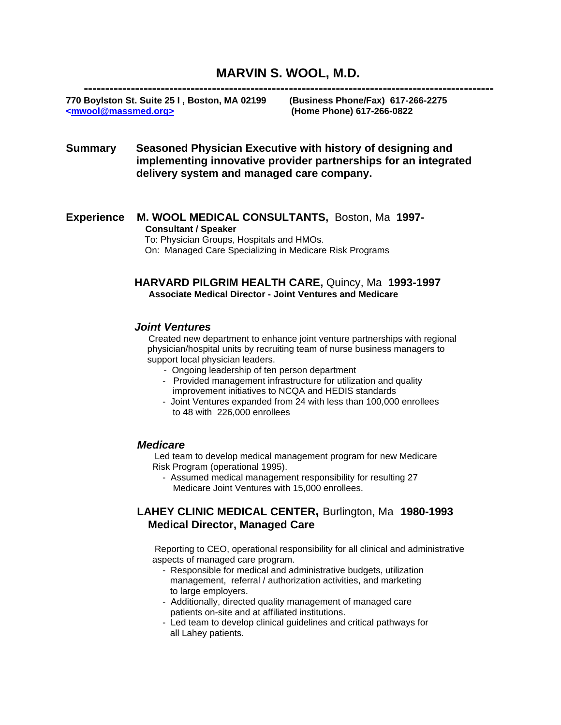# **MARVIN S. WOOL, M.D.**

 **------------------------------------------------------------------------------------------------ 770 Boylston St. Suite 25 I , Boston, MA 02199 (Business Phone/Fax) 617-266-2275 <mwool@massmed.org> (Home Phone) 617-266-0822**

## **Summary Seasoned Physician Executive with history of designing and implementing innovative provider partnerships for an integrated delivery system and managed care company.**

**Experience M. WOOL MEDICAL CONSULTANTS,** Boston, Ma **1997- Consultant / Speaker** 

> To: Physician Groups, Hospitals and HMOs. On: Managed Care Specializing in Medicare Risk Programs

### **HARVARD PILGRIM HEALTH CARE,** Quincy, Ma **1993-1997 Associate Medical Director - Joint Ventures and Medicare**

#### *Joint Ventures*

Created new department to enhance joint venture partnerships with regional physician/hospital units by recruiting team of nurse business managers to support local physician leaders.

- Ongoing leadership of ten person department
- Provided management infrastructure for utilization and quality improvement initiatives to NCQA and HEDIS standards
- Joint Ventures expanded from 24 with less than 100,000 enrollees to 48 with 226,000 enrollees

#### *Medicare*

Led team to develop medical management program for new Medicare Risk Program (operational 1995).

 - Assumed medical management responsibility for resulting 27 Medicare Joint Ventures with 15,000 enrollees.

## **LAHEY CLINIC MEDICAL CENTER,** Burlington, Ma **1980-1993 Medical Director, Managed Care**

Reporting to CEO, operational responsibility for all clinical and administrative aspects of managed care program.

- Responsible for medical and administrative budgets, utilization management, referral / authorization activities, and marketing to large employers.
- Additionally, directed quality management of managed care patients on-site and at affiliated institutions.
- Led team to develop clinical guidelines and critical pathways for all Lahey patients.